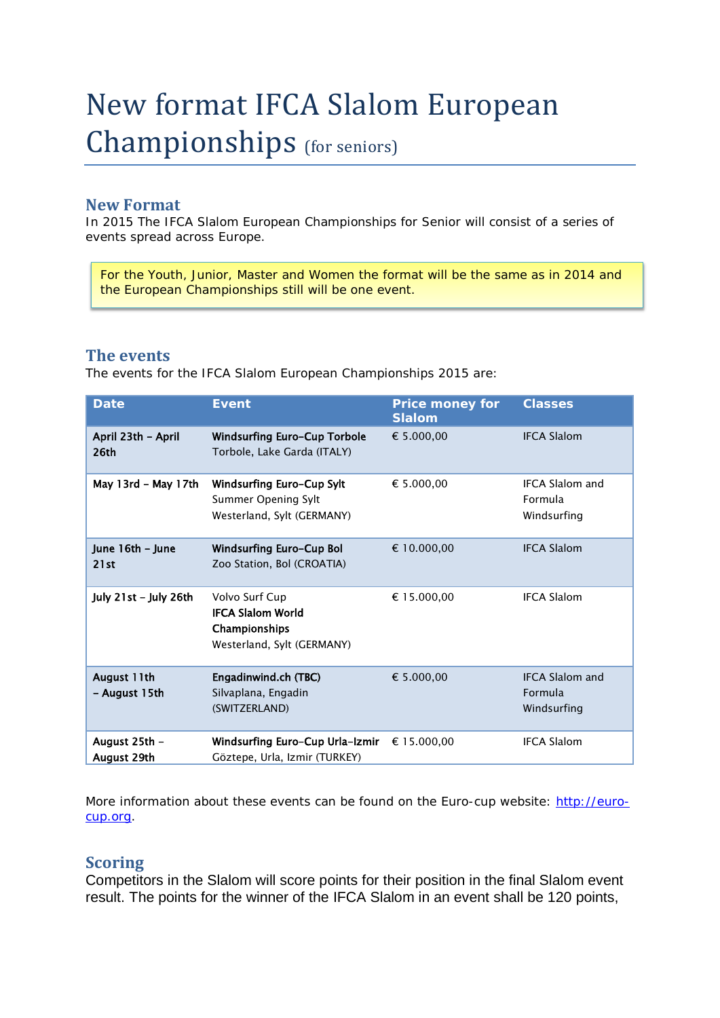# New format IFCA Slalom European Championships (for seniors)

## **New Format**

In 2015 The IFCA Slalom European Championships for Senior will consist of a series of events spread across Europe.

For the Youth, Junior, Master and Women the format will be the same as in 2014 and the European Championships still will be one event.

### **The events**

The events for the IFCA Slalom European Championships 2015 are:

| <b>Date</b>                  | <b>Event</b>                                                                              | <b>Price money for</b><br><b>Slalom</b> | <b>Classes</b>                                          |
|------------------------------|-------------------------------------------------------------------------------------------|-----------------------------------------|---------------------------------------------------------|
| April 23th - April<br>26th   | <b>Windsurfing Euro-Cup Torbole</b><br>Torbole, Lake Garda (ITALY)                        | € 5.000,00                              | <b>IFCA Slalom</b>                                      |
| May 13rd - May 17th          | <b>Windsurfing Euro-Cup Sylt</b><br>Summer Opening Sylt<br>Westerland, Sylt (GERMANY)     | € 5.000,00                              | <b>IFCA Slalom and</b><br><b>Formula</b><br>Windsurfing |
| June 16th - June<br>21st     | Windsurfing Euro-Cup Bol<br>Zoo Station, Bol (CROATIA)                                    | € 10.000.00                             | <b>IFCA Slalom</b>                                      |
| July 21st - July 26th        | Volvo Surf Cup<br><b>IFCA Slalom World</b><br>Championships<br>Westerland, Sylt (GERMANY) | € 15.000.00                             | <b>IFCA Slalom</b>                                      |
| August 11th<br>- August 15th | Engadinwind.ch (TBC)<br>Silvaplana, Engadin<br>(SWITZERLAND)                              | € 5.000,00                              | <b>IFCA Slalom and</b><br>Formula<br>Windsurfing        |
| August 25th -<br>August 29th | Windsurfing Euro-Cup Urla-Izmir<br>Göztepe, Urla, Izmir (TURKEY)                          | € 15.000,00                             | <b>IFCA Slalom</b>                                      |

More information about these events can be found on the Euro-cup website: [http://euro](http://euro-cup.org/)[cup.org.](http://euro-cup.org/)

#### **Scoring**

Competitors in the Slalom will score points for their position in the final Slalom event result. The points for the winner of the IFCA Slalom in an event shall be 120 points,